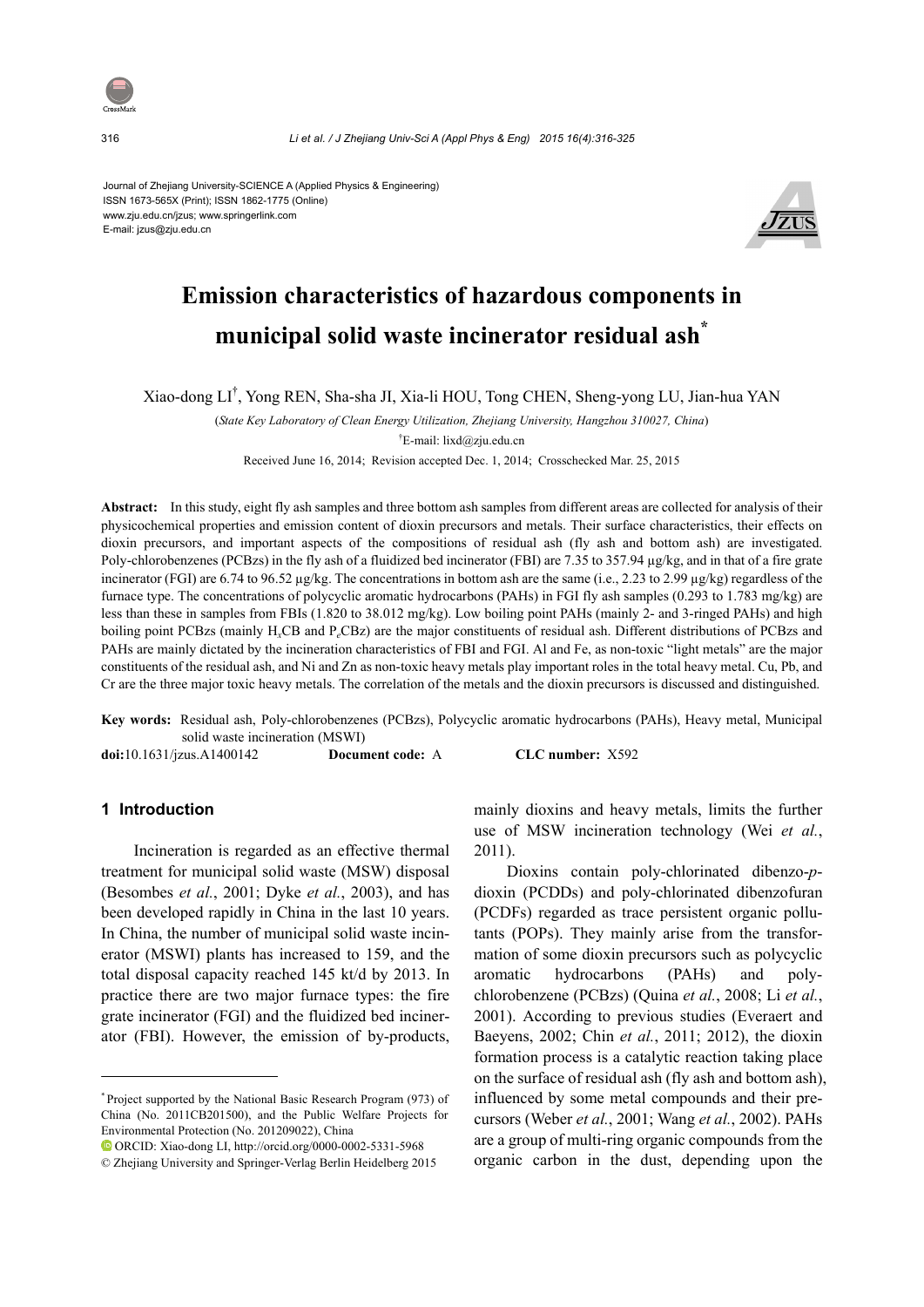

316 *Li et al. / J Zhejiang Univ-Sci A (Appl Phys & Eng) 2015 16(4):316-325*

Journal of Zhejiang University-SCIENCE A (Applied Physics & Engineering) ISSN 1673-565X (Print); ISSN 1862-1775 (Online) www.zju.edu.cn/jzus; www.springerlink.com E-mail: jzus@zju.edu.cn



# **Emission characteristics of hazardous components in municipal solid waste incinerator residual ash\***

Xiao-dong LI† , Yong REN, Sha-sha JI, Xia-li HOU, Tong CHEN, Sheng-yong LU, Jian-hua YAN

(*State Key Laboratory of Clean Energy Utilization, Zhejiang University, Hangzhou 310027, China*)

† E-mail: lixd@zju.edu.cn

Received June 16, 2014; Revision accepted Dec. 1, 2014; Crosschecked Mar. 25, 2015

**Abstract:** In this study, eight fly ash samples and three bottom ash samples from different areas are collected for analysis of their physicochemical properties and emission content of dioxin precursors and metals. Their surface characteristics, their effects on dioxin precursors, and important aspects of the compositions of residual ash (fly ash and bottom ash) are investigated. Poly-chlorobenzenes (PCBzs) in the fly ash of a fluidized bed incinerator (FBI) are 7.35 to 357.94 µg/kg, and in that of a fire grate incinerator (FGI) are 6.74 to 96.52 µg/kg. The concentrations in bottom ash are the same (i.e., 2.23 to 2.99 µg/kg) regardless of the furnace type. The concentrations of polycyclic aromatic hydrocarbons (PAHs) in FGI fly ash samples (0.293 to 1.783 mg/kg) are less than these in samples from FBIs (1.820 to 38.012 mg/kg). Low boiling point PAHs (mainly 2- and 3-ringed PAHs) and high boiling point PCBzs (mainly H*x*CB and P*e*CBz) are the major constituents of residual ash. Different distributions of PCBzs and PAHs are mainly dictated by the incineration characteristics of FBI and FGI. Al and Fe, as non-toxic "light metals" are the major constituents of the residual ash, and Ni and Zn as non-toxic heavy metals play important roles in the total heavy metal. Cu, Pb, and Cr are the three major toxic heavy metals. The correlation of the metals and the dioxin precursors is discussed and distinguished.

**Key words:** Residual ash, Poly-chlorobenzenes (PCBzs), Polycyclic aromatic hydrocarbons (PAHs), Heavy metal, Municipal solid waste incineration (MSWI)

**doi:**10.1631/jzus.A1400142 **Document code:** A **CLC number:** X592

#### **1 Introduction**

Incineration is regarded as an effective thermal treatment for municipal solid waste (MSW) disposal (Besombes *et al.*, 2001; Dyke *et al.*, 2003), and has been developed rapidly in China in the last 10 years. In China, the number of municipal solid waste incinerator (MSWI) plants has increased to 159, and the total disposal capacity reached 145 kt/d by 2013. In practice there are two major furnace types: the fire grate incinerator (FGI) and the fluidized bed incinerator (FBI). However, the emission of by-products,

ORCID: Xiao-dong LI, http://orcid.org/0000-0002-5331-5968

mainly dioxins and heavy metals, limits the further use of MSW incineration technology (Wei *et al.*, 2011).

Dioxins contain poly-chlorinated dibenzo-*p*dioxin (PCDDs) and poly-chlorinated dibenzofuran (PCDFs) regarded as trace persistent organic pollutants (POPs). They mainly arise from the transformation of some dioxin precursors such as polycyclic aromatic hydrocarbons (PAHs) and polychlorobenzene (PCBzs) (Quina *et al.*, 2008; Li *et al.*, 2001). According to previous studies (Everaert and Baeyens, 2002; Chin *et al.*, 2011; 2012), the dioxin formation process is a catalytic reaction taking place on the surface of residual ash (fly ash and bottom ash), influenced by some metal compounds and their precursors (Weber *et al.*, 2001; Wang *et al.*, 2002). PAHs are a group of multi-ring organic compounds from the organic carbon in the dust, depending upon the

<sup>\*</sup> Project supported by the National Basic Research Program (973) of China (No. 2011CB201500), and the Public Welfare Projects for Environmental Protection (No. 201209022), China

<sup>©</sup> Zhejiang University and Springer-Verlag Berlin Heidelberg 2015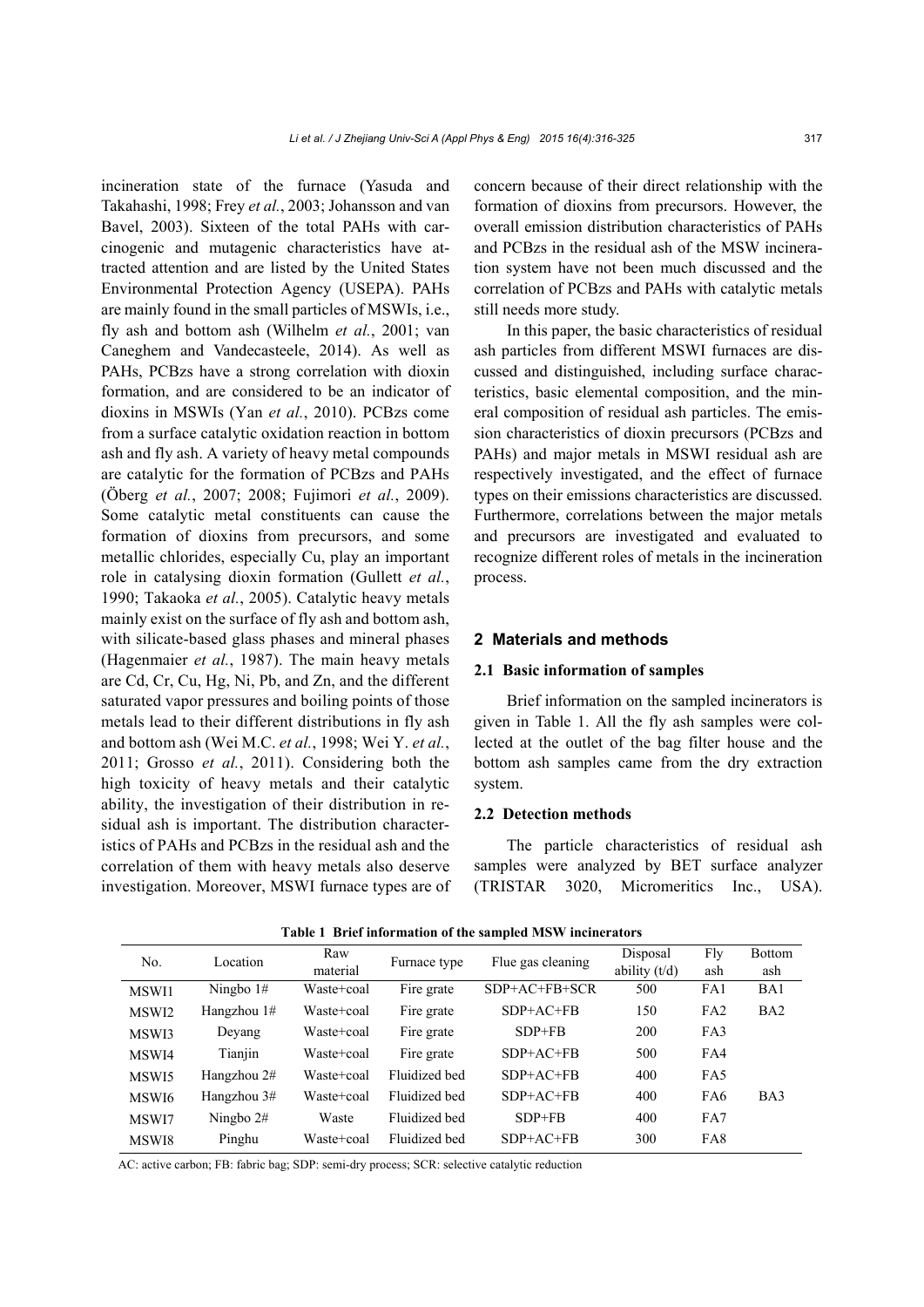incineration state of the furnace (Yasuda and Takahashi, 1998; Frey *et al.*, 2003; Johansson and van Bavel, 2003). Sixteen of the total PAHs with carcinogenic and mutagenic characteristics have attracted attention and are listed by the United States Environmental Protection Agency (USEPA). PAHs are mainly found in the small particles of MSWIs, i.e., fly ash and bottom ash (Wilhelm *et al.*, 2001; van Caneghem and Vandecasteele, 2014). As well as PAHs, PCBzs have a strong correlation with dioxin formation, and are considered to be an indicator of dioxins in MSWIs (Yan *et al.*, 2010). PCBzs come from a surface catalytic oxidation reaction in bottom ash and fly ash. A variety of heavy metal compounds are catalytic for the formation of PCBzs and PAHs (Öberg *et al.*, 2007; 2008; Fujimori *et al.*, 2009). Some catalytic metal constituents can cause the formation of dioxins from precursors, and some metallic chlorides, especially Cu, play an important role in catalysing dioxin formation (Gullett *et al.*, 1990; Takaoka *et al.*, 2005). Catalytic heavy metals mainly exist on the surface of fly ash and bottom ash, with silicate-based glass phases and mineral phases (Hagenmaier *et al.*, 1987). The main heavy metals are Cd, Cr, Cu, Hg, Ni, Pb, and Zn, and the different saturated vapor pressures and boiling points of those metals lead to their different distributions in fly ash and bottom ash (Wei M.C. *et al.*, 1998; Wei Y. *et al.*, 2011; Grosso *et al.*, 2011). Considering both the high toxicity of heavy metals and their catalytic ability, the investigation of their distribution in residual ash is important. The distribution characteristics of PAHs and PCBzs in the residual ash and the correlation of them with heavy metals also deserve investigation. Moreover, MSWI furnace types are of concern because of their direct relationship with the formation of dioxins from precursors. However, the overall emission distribution characteristics of PAHs and PCBzs in the residual ash of the MSW incineration system have not been much discussed and the correlation of PCBzs and PAHs with catalytic metals still needs more study.

In this paper, the basic characteristics of residual ash particles from different MSWI furnaces are discussed and distinguished, including surface characteristics, basic elemental composition, and the mineral composition of residual ash particles. The emission characteristics of dioxin precursors (PCBzs and PAHs) and major metals in MSWI residual ash are respectively investigated, and the effect of furnace types on their emissions characteristics are discussed. Furthermore, correlations between the major metals and precursors are investigated and evaluated to recognize different roles of metals in the incineration process.

#### **2 Materials and methods**

#### **2.1 Basic information of samples**

Brief information on the sampled incinerators is given in Table 1. All the fly ash samples were collected at the outlet of the bag filter house and the bottom ash samples came from the dry extraction system.

# **2.2 Detection methods**

The particle characteristics of residual ash samples were analyzed by BET surface analyzer (TRISTAR 3020, Micromeritics Inc., USA).

| No.   | Location    | Raw        | Furnace type  | Flue gas cleaning | Disposal        | Fly | <b>Bottom</b>   |
|-------|-------------|------------|---------------|-------------------|-----------------|-----|-----------------|
|       |             | material   |               |                   | ability $(t/d)$ | ash | ash             |
| MSWI1 | Ningbo $1#$ | Waste+coal | Fire grate    | $SDP+AC+FB+SCR$   | 500             | FA1 | BA1             |
| MSWI2 | Hangzhou 1# | Waste+coal | Fire grate    | $SDP+AC+FB$       | 150             | FA2 | BA <sub>2</sub> |
| MSWI3 | Deyang      | Waste+coal | Fire grate    | $SDP + FB$        | <b>200</b>      | FA3 |                 |
| MSWI4 | Tianjin     | Waste+coal | Fire grate    | $SDP+AC+FB$       | 500             | FA4 |                 |
| MSWI5 | Hangzhou 2# | Waste+coal | Fluidized bed | $SDP+AC+FB$       | 400             | FA5 |                 |
| MSWI6 | Hangzhou 3# | Waste+coal | Fluidized bed | $SDP+AC+FB$       | 400             | FA6 | BA3             |
| MSWI7 | Ningbo $2#$ | Waste      | Fluidized bed | $SDP + FB$        | 400             | FA7 |                 |
| MSWI8 | Pinghu      | Waste+coal | Fluidized bed | $SDP+AC+FB$       | 300             | FA8 |                 |

**Table 1 Brief information of the sampled MSW incinerators** 

AC: active carbon; FB: fabric bag; SDP: semi-dry process; SCR: selective catalytic reduction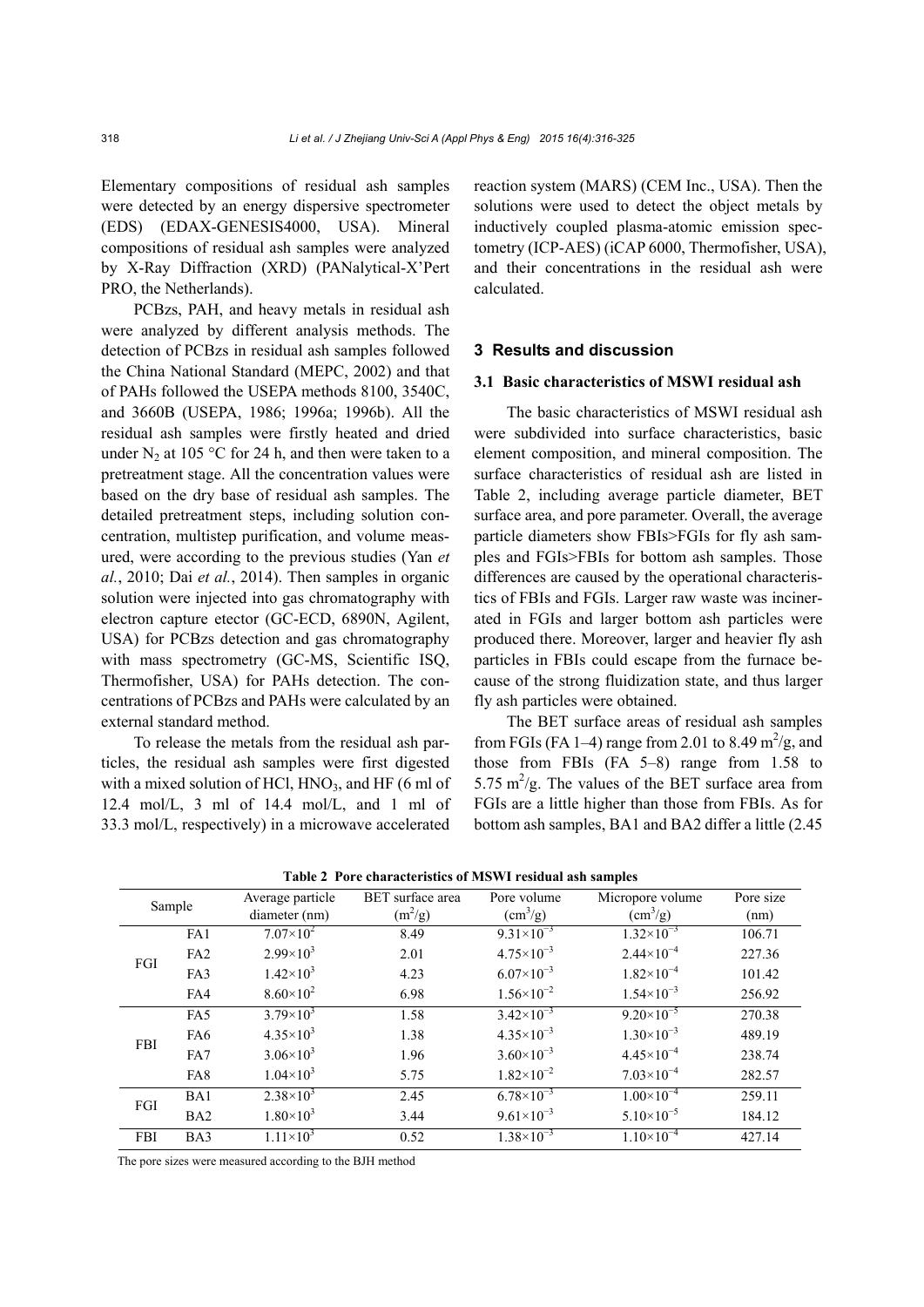Elementary compositions of residual ash samples were detected by an energy dispersive spectrometer (EDS) (EDAX-GENESIS4000, USA). Mineral compositions of residual ash samples were analyzed by X-Ray Diffraction (XRD) (PANalytical-X'Pert PRO, the Netherlands).

PCBzs, PAH, and heavy metals in residual ash were analyzed by different analysis methods. The detection of PCBzs in residual ash samples followed the China National Standard (MEPC, 2002) and that of PAHs followed the USEPA methods 8100, 3540C, and 3660B (USEPA, 1986; 1996a; 1996b). All the residual ash samples were firstly heated and dried under  $N_2$  at 105 °C for 24 h, and then were taken to a pretreatment stage. All the concentration values were based on the dry base of residual ash samples. The detailed pretreatment steps, including solution concentration, multistep purification, and volume measured, were according to the previous studies (Yan *et al.*, 2010; Dai *et al.*, 2014). Then samples in organic solution were injected into gas chromatography with electron capture etector (GC-ECD, 6890N, Agilent, USA) for PCBzs detection and gas chromatography with mass spectrometry (GC-MS, Scientific ISQ, Thermofisher, USA) for PAHs detection. The concentrations of PCBzs and PAHs were calculated by an external standard method.

To release the metals from the residual ash particles, the residual ash samples were first digested with a mixed solution of HCl,  $HNO<sub>3</sub>$ , and HF (6 ml of 12.4 mol/L, 3 ml of 14.4 mol/L, and 1 ml of 33.3 mol/L, respectively) in a microwave accelerated

reaction system (MARS) (CEM Inc., USA). Then the solutions were used to detect the object metals by inductively coupled plasma-atomic emission spectometry (ICP-AES) (iCAP 6000, Thermofisher, USA), and their concentrations in the residual ash were calculated.

#### **3 Results and discussion**

## **3.1 Basic characteristics of MSWI residual ash**

The basic characteristics of MSWI residual ash were subdivided into surface characteristics, basic element composition, and mineral composition. The surface characteristics of residual ash are listed in Table 2, including average particle diameter, BET surface area, and pore parameter. Overall, the average particle diameters show FBIs>FGIs for fly ash samples and FGIs>FBIs for bottom ash samples. Those differences are caused by the operational characteristics of FBIs and FGIs. Larger raw waste was incinerated in FGIs and larger bottom ash particles were produced there. Moreover, larger and heavier fly ash particles in FBIs could escape from the furnace because of the strong fluidization state, and thus larger fly ash particles were obtained.

The BET surface areas of residual ash samples from FGIs (FA 1–4) range from 2.01 to 8.49  $\text{m}^2/\text{g}$ , and those from FBIs (FA 5–8) range from 1.58 to 5.75  $\text{m}^2/\text{g}$ . The values of the BET surface area from FGIs are a little higher than those from FBIs. As for bottom ash samples, BA1 and BA2 differ a little (2.45

|                 | Average particle   | BET surface area | Pore volume           | Micropore volume                 | Pore size |
|-----------------|--------------------|------------------|-----------------------|----------------------------------|-----------|
|                 | diameter (nm)      |                  |                       | $\text{(cm}^3\text{/g)}$<br>(nm) |           |
| FA1             | $7.07\times10^{2}$ | 8.49             | $9.31 \times 10^{-3}$ | $1.32\times10^{-3}$              | 106.71    |
| FA2             | $2.99\times10^{3}$ | 2.01             | $4.75 \times 10^{-3}$ | $2.44 \times 10^{-4}$            | 227.36    |
| FA3             | $1.42 \times 10^3$ | 4.23             | $6.07\times10^{-3}$   | $1.82\times10^{-4}$              | 101.42    |
| FA4             | $8.60\times10^{2}$ | 6.98             | $1.56 \times 10^{-2}$ | $1.54\times10^{-3}$              | 256.92    |
| FA5             | $3.79\times10^{3}$ | 1.58             | $3.42\times10^{-3}$   | $9.20\times10^{-5}$              | 270.38    |
| FA6             | $4.35 \times 10^3$ | 1.38             | $4.35\times10^{-3}$   | $1.30\times10^{-3}$              | 489.19    |
| FA7             | $3.06 \times 10^3$ | 1.96             | $3.60\times10^{-3}$   | $4.45\times10^{-4}$              | 238.74    |
| FA8             | $1.04 \times 10^3$ | 5.75             | $1.82\times10^{-2}$   | $7.03\times10^{-4}$              | 282.57    |
| BA1             | $2.38\times10^{3}$ | 2.45             | $6.78 \times 10^{-3}$ | $1.00\times10^{-4}$              | 259.11    |
| BA <sub>2</sub> | $1.80\times10^{3}$ | 3.44             | $9.61\times10^{-3}$   | $5.10\times10^{-5}$              | 184.12    |
| BA3             | $1.11\times10^{3}$ | 0.52             | $1.38\times10^{-3}$   | $1.10\times10^{-4}$              | 427.14    |
|                 | Sample             |                  | $(m^2/g)$             | $\text{ (cm}^3\text{/g)}$        |           |

**Table 2 Pore characteristics of MSWI residual ash samples** 

The pore sizes were measured according to the BJH method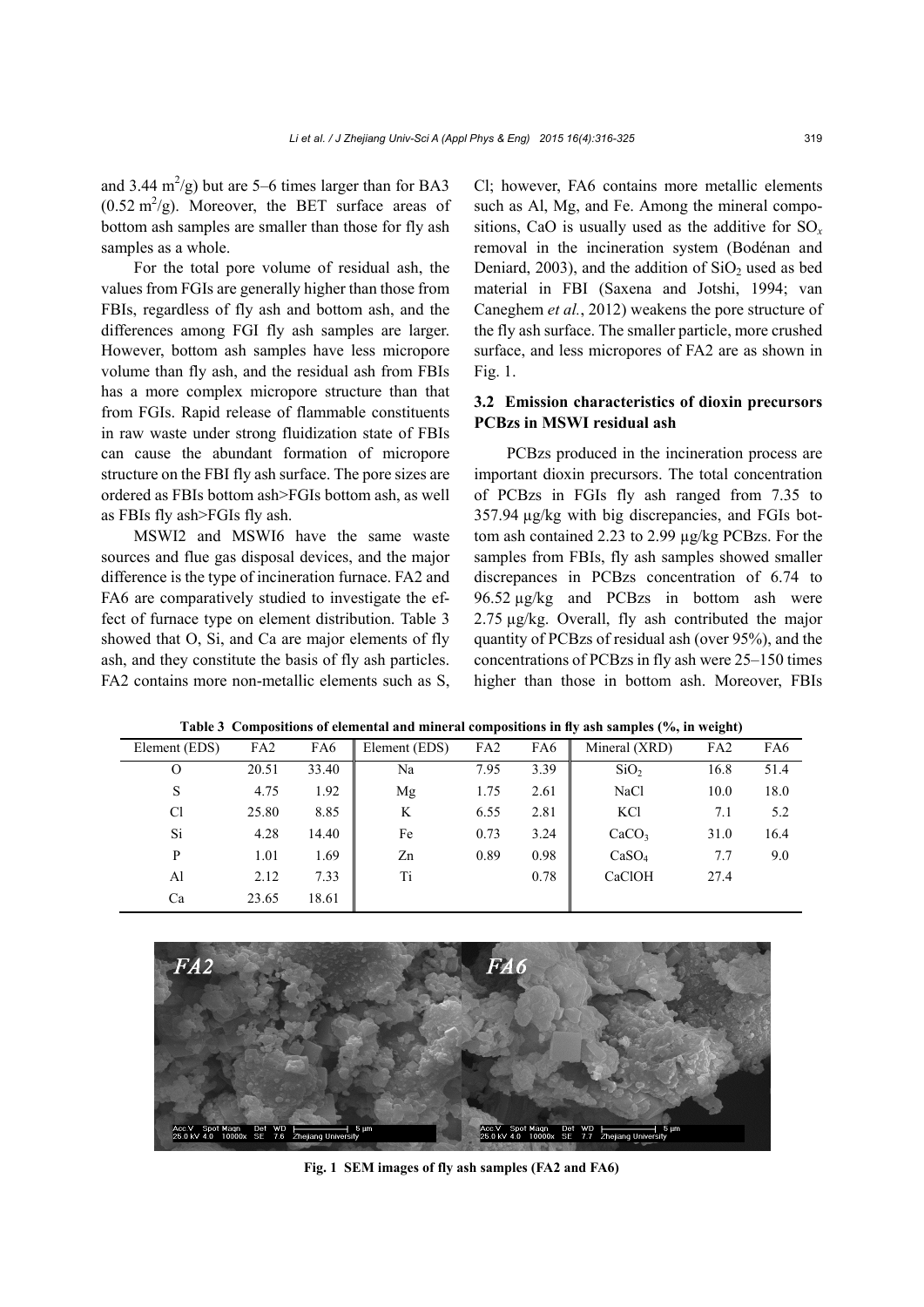and 3.44  $\text{m}^2/\text{g}$ ) but are 5–6 times larger than for BA3  $(0.52 \text{ m}^2/\text{g})$ . Moreover, the BET surface areas of bottom ash samples are smaller than those for fly ash samples as a whole.

For the total pore volume of residual ash, the values from FGIs are generally higher than those from FBIs, regardless of fly ash and bottom ash, and the differences among FGI fly ash samples are larger. However, bottom ash samples have less micropore volume than fly ash, and the residual ash from FBIs has a more complex micropore structure than that from FGIs. Rapid release of flammable constituents in raw waste under strong fluidization state of FBIs can cause the abundant formation of micropore structure on the FBI fly ash surface. The pore sizes are ordered as FBIs bottom ash>FGIs bottom ash, as well as FBIs fly ash>FGIs fly ash.

MSWI2 and MSWI6 have the same waste sources and flue gas disposal devices, and the major difference is the type of incineration furnace. FA2 and FA6 are comparatively studied to investigate the effect of furnace type on element distribution. Table 3 showed that O, Si, and Ca are major elements of fly ash, and they constitute the basis of fly ash particles. FA2 contains more non-metallic elements such as S,

Cl; however, FA6 contains more metallic elements such as Al, Mg, and Fe. Among the mineral compositions, CaO is usually used as the additive for SO*<sup>x</sup>* removal in the incineration system (Bodénan and Deniard, 2003), and the addition of  $SiO<sub>2</sub>$  used as bed material in FBI (Saxena and Jotshi, 1994; van Caneghem *et al.*, 2012) weakens the pore structure of the fly ash surface. The smaller particle, more crushed surface, and less micropores of FA2 are as shown in Fig. 1.

# **3.2 Emission characteristics of dioxin precursors PCBzs in MSWI residual ash**

PCBzs produced in the incineration process are important dioxin precursors. The total concentration of PCBzs in FGIs fly ash ranged from 7.35 to 357.94 µg/kg with big discrepancies, and FGIs bottom ash contained 2.23 to 2.99 µg/kg PCBzs. For the samples from FBIs, fly ash samples showed smaller discrepances in PCBzs concentration of 6.74 to 96.52 µg/kg and PCBzs in bottom ash were 2.75 µg/kg. Overall, fly ash contributed the major quantity of PCBzs of residual ash (over 95%), and the concentrations of PCBzs in fly ash were 25–150 times higher than those in bottom ash. Moreover, FBIs

| Element (EDS)  | FA <sub>2</sub> | FA6   | Element (EDS) | FA <sub>2</sub> | FA6  | Mineral (XRD)     | FA <sub>2</sub> | FA6  |
|----------------|-----------------|-------|---------------|-----------------|------|-------------------|-----------------|------|
| O              | 20.51           | 33.40 | Na            | 7.95            | 3.39 | SiO <sub>2</sub>  | 16.8            | 51.4 |
| S              | 4.75            | 1.92  | Mg            | 1.75            | 2.61 | NaCl              | 10.0            | 18.0 |
| C <sub>1</sub> | 25.80           | 8.85  | K             | 6.55            | 2.81 | <b>KCl</b>        | 7.1             | 5.2  |
| Si             | 4.28            | 14.40 | Fe            | 0.73            | 3.24 | CaCO <sub>3</sub> | 31.0            | 16.4 |
| P              | 1.01            | 1.69  | Zn            | 0.89            | 0.98 | CaSO <sub>4</sub> | 7.7             | 9.0  |
| Al             | 2.12            | 7.33  | Ti            |                 | 0.78 | CaClOH            | 27.4            |      |
| Ca             | 23.65           | 18.61 |               |                 |      |                   |                 |      |

**Table 3 Compositions of elemental and mineral compositions in fly ash samples (%, in weight)** 



**Fig. 1 SEM images of fly ash samples (FA2 and FA6)**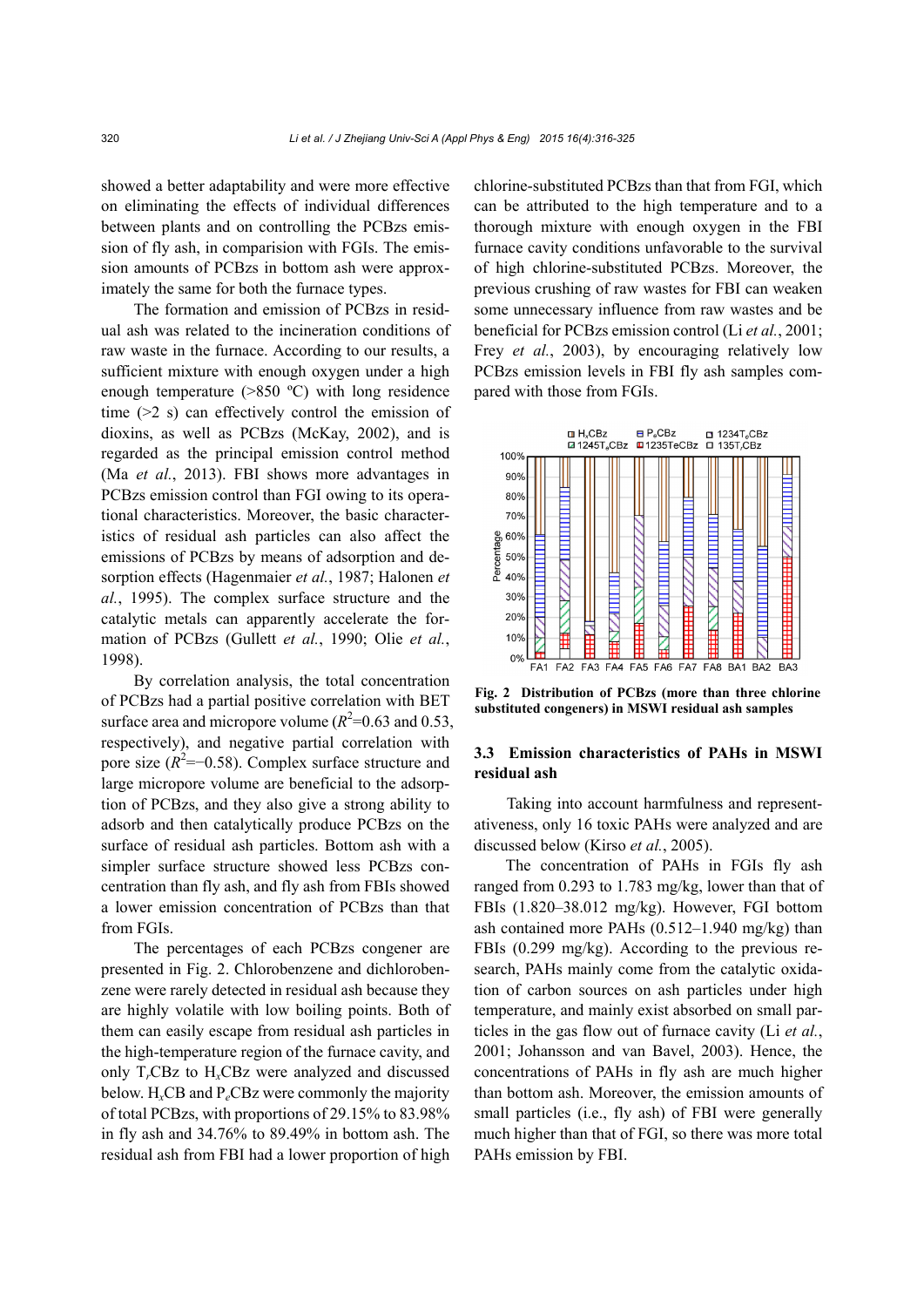showed a better adaptability and were more effective on eliminating the effects of individual differences between plants and on controlling the PCBzs emission of fly ash, in comparision with FGIs. The emission amounts of PCBzs in bottom ash were approximately the same for both the furnace types.

The formation and emission of PCBzs in residual ash was related to the incineration conditions of raw waste in the furnace. According to our results, a sufficient mixture with enough oxygen under a high enough temperature  $(>850 \degree C)$  with long residence time  $(>= 2 s)$  can effectively control the emission of dioxins, as well as PCBzs (McKay, 2002), and is regarded as the principal emission control method (Ma *et al.*, 2013). FBI shows more advantages in PCBzs emission control than FGI owing to its operational characteristics. Moreover, the basic characteristics of residual ash particles can also affect the emissions of PCBzs by means of adsorption and desorption effects (Hagenmaier *et al.*, 1987; Halonen *et al.*, 1995). The complex surface structure and the catalytic metals can apparently accelerate the formation of PCBzs (Gullett *et al.*, 1990; Olie *et al.*, 1998).

By correlation analysis, the total concentration of PCBzs had a partial positive correlation with BET surface area and micropore volume ( $R^2$ =0.63 and 0.53, respectively), and negative partial correlation with pore size  $(R^2 = -0.58)$ . Complex surface structure and large micropore volume are beneficial to the adsorption of PCBzs, and they also give a strong ability to adsorb and then catalytically produce PCBzs on the surface of residual ash particles. Bottom ash with a simpler surface structure showed less PCBzs concentration than fly ash, and fly ash from FBIs showed a lower emission concentration of PCBzs than that from FGIs.

The percentages of each PCBzs congener are presented in Fig. 2. Chlorobenzene and dichlorobenzene were rarely detected in residual ash because they are highly volatile with low boiling points. Both of them can easily escape from residual ash particles in the high-temperature region of the furnace cavity, and only T*r*CBz to H*x*CBz were analyzed and discussed below. H*x*CB and P*e*CBz were commonly the majority of total PCBzs, with proportions of 29.15% to 83.98% in fly ash and 34.76% to 89.49% in bottom ash. The residual ash from FBI had a lower proportion of high chlorine-substituted PCBzs than that from FGI, which can be attributed to the high temperature and to a thorough mixture with enough oxygen in the FBI furnace cavity conditions unfavorable to the survival of high chlorine-substituted PCBzs. Moreover, the previous crushing of raw wastes for FBI can weaken some unnecessary influence from raw wastes and be beneficial for PCBzs emission control (Li *et al.*, 2001; Frey *et al.*, 2003), by encouraging relatively low PCBzs emission levels in FBI fly ash samples compared with those from FGIs.



**Fig. 2 Distribution of PCBzs (more than three chlorine substituted congeners) in MSWI residual ash samples** 

# **3.3 Emission characteristics of PAHs in MSWI residual ash**

Taking into account harmfulness and representativeness, only 16 toxic PAHs were analyzed and are discussed below (Kirso *et al.*, 2005).

The concentration of PAHs in FGIs fly ash ranged from 0.293 to 1.783 mg/kg, lower than that of FBIs (1.820–38.012 mg/kg). However, FGI bottom ash contained more PAHs (0.512–1.940 mg/kg) than FBIs (0.299 mg/kg). According to the previous research, PAHs mainly come from the catalytic oxidation of carbon sources on ash particles under high temperature, and mainly exist absorbed on small particles in the gas flow out of furnace cavity (Li *et al.*, 2001; Johansson and van Bavel, 2003). Hence, the concentrations of PAHs in fly ash are much higher than bottom ash. Moreover, the emission amounts of small particles (i.e., fly ash) of FBI were generally much higher than that of FGI, so there was more total PAHs emission by FBI.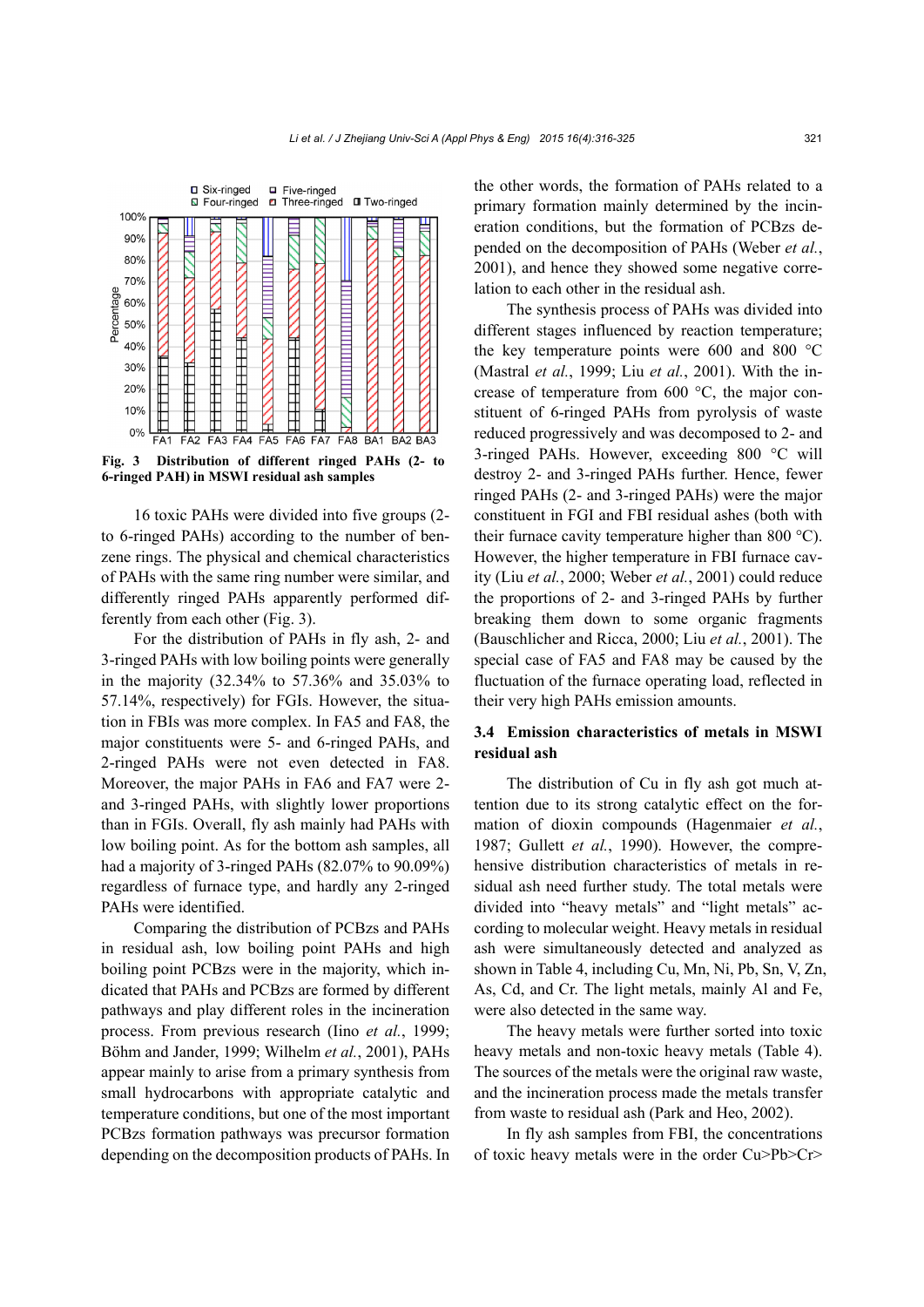

**Fig. 3 Distribution of different ringed PAHs (2- to 6-ringed PAH) in MSWI residual ash samples** 

16 toxic PAHs were divided into five groups (2 to 6-ringed PAHs) according to the number of benzene rings. The physical and chemical characteristics of PAHs with the same ring number were similar, and differently ringed PAHs apparently performed differently from each other (Fig. 3).

For the distribution of PAHs in fly ash, 2- and 3-ringed PAHs with low boiling points were generally in the majority (32.34% to 57.36% and 35.03% to 57.14%, respectively) for FGIs. However, the situation in FBIs was more complex. In FA5 and FA8, the major constituents were 5- and 6-ringed PAHs, and 2-ringed PAHs were not even detected in FA8. Moreover, the major PAHs in FA6 and FA7 were 2 and 3-ringed PAHs, with slightly lower proportions than in FGIs. Overall, fly ash mainly had PAHs with low boiling point. As for the bottom ash samples, all had a majority of 3-ringed PAHs (82.07% to 90.09%) regardless of furnace type, and hardly any 2-ringed PAHs were identified.

Comparing the distribution of PCBzs and PAHs in residual ash, low boiling point PAHs and high boiling point PCBzs were in the majority, which indicated that PAHs and PCBzs are formed by different pathways and play different roles in the incineration process. From previous research (Iino *et al.*, 1999; Böhm and Jander, 1999; Wilhelm *et al.*, 2001), PAHs appear mainly to arise from a primary synthesis from small hydrocarbons with appropriate catalytic and temperature conditions, but one of the most important PCBzs formation pathways was precursor formation depending on the decomposition products of PAHs. In the other words, the formation of PAHs related to a primary formation mainly determined by the incineration conditions, but the formation of PCBzs depended on the decomposition of PAHs (Weber *et al.*, 2001), and hence they showed some negative correlation to each other in the residual ash.

The synthesis process of PAHs was divided into different stages influenced by reaction temperature; the key temperature points were 600 and 800 °C (Mastral *et al.*, 1999; Liu *et al.*, 2001). With the increase of temperature from 600 °C, the major constituent of 6-ringed PAHs from pyrolysis of waste reduced progressively and was decomposed to 2- and 3-ringed PAHs. However, exceeding 800 °C will destroy 2- and 3-ringed PAHs further. Hence, fewer ringed PAHs (2- and 3-ringed PAHs) were the major constituent in FGI and FBI residual ashes (both with their furnace cavity temperature higher than 800 °C). However, the higher temperature in FBI furnace cavity (Liu *et al.*, 2000; Weber *et al.*, 2001) could reduce the proportions of 2- and 3-ringed PAHs by further breaking them down to some organic fragments (Bauschlicher and Ricca, 2000; Liu *et al.*, 2001). The special case of FA5 and FA8 may be caused by the fluctuation of the furnace operating load, reflected in their very high PAHs emission amounts.

# **3.4 Emission characteristics of metals in MSWI residual ash**

The distribution of Cu in fly ash got much attention due to its strong catalytic effect on the formation of dioxin compounds (Hagenmaier *et al.*, 1987; Gullett *et al.*, 1990). However, the comprehensive distribution characteristics of metals in residual ash need further study. The total metals were divided into "heavy metals" and "light metals" according to molecular weight. Heavy metals in residual ash were simultaneously detected and analyzed as shown in Table 4, including Cu, Mn, Ni, Pb, Sn, V, Zn, As, Cd, and Cr. The light metals, mainly Al and Fe, were also detected in the same way.

The heavy metals were further sorted into toxic heavy metals and non-toxic heavy metals (Table 4). The sources of the metals were the original raw waste, and the incineration process made the metals transfer from waste to residual ash (Park and Heo, 2002).

In fly ash samples from FBI, the concentrations of toxic heavy metals were in the order Cu>Pb>Cr>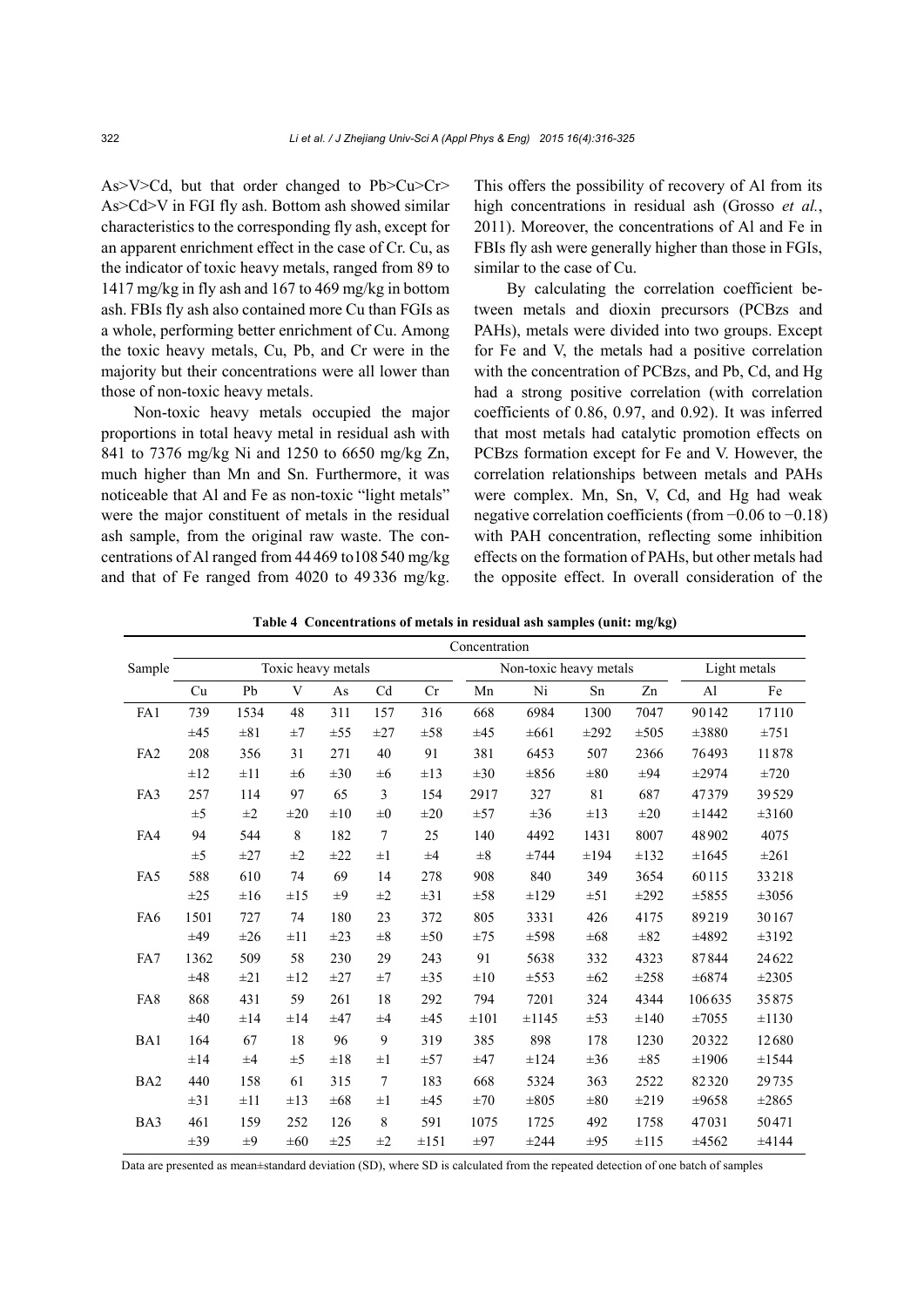As>V>Cd, but that order changed to Pb>Cu>Cr> As>Cd>V in FGI fly ash. Bottom ash showed similar characteristics to the corresponding fly ash, except for an apparent enrichment effect in the case of Cr. Cu, as the indicator of toxic heavy metals, ranged from 89 to 1417 mg/kg in fly ash and 167 to 469 mg/kg in bottom ash. FBIs fly ash also contained more Cu than FGIs as a whole, performing better enrichment of Cu. Among the toxic heavy metals, Cu, Pb, and Cr were in the majority but their concentrations were all lower than those of non-toxic heavy metals.

Non-toxic heavy metals occupied the major proportions in total heavy metal in residual ash with 841 to 7376 mg/kg Ni and 1250 to 6650 mg/kg Zn, much higher than Mn and Sn. Furthermore, it was noticeable that Al and Fe as non-toxic "light metals" were the major constituent of metals in the residual ash sample, from the original raw waste. The concentrations of Al ranged from 44469 to108540 mg/kg and that of Fe ranged from 4020 to 49336 mg/kg. This offers the possibility of recovery of Al from its high concentrations in residual ash (Grosso *et al.*, 2011). Moreover, the concentrations of Al and Fe in FBIs fly ash were generally higher than those in FGIs, similar to the case of Cu.

By calculating the correlation coefficient between metals and dioxin precursors (PCBzs and PAHs), metals were divided into two groups. Except for Fe and V, the metals had a positive correlation with the concentration of PCBzs, and Pb, Cd, and Hg had a strong positive correlation (with correlation coefficients of 0.86, 0.97, and 0.92). It was inferred that most metals had catalytic promotion effects on PCBzs formation except for Fe and V. However, the correlation relationships between metals and PAHs were complex. Mn, Sn, V, Cd, and Hg had weak negative correlation coefficients (from −0.06 to −0.18) with PAH concentration, reflecting some inhibition effects on the formation of PAHs, but other metals had the opposite effect. In overall consideration of the

|                 | Concentration      |          |          |          |                |           |                        |            |           |           |                |            |
|-----------------|--------------------|----------|----------|----------|----------------|-----------|------------------------|------------|-----------|-----------|----------------|------------|
| Sample          | Toxic heavy metals |          |          |          |                |           | Non-toxic heavy metals |            |           |           | Light metals   |            |
|                 | Cu                 | Pb       | V        | As       | Cd             | Cr        | Mn                     | Ni         | Sn        | Zn        | A <sub>1</sub> | Fe         |
| FA1             | 739                | 1534     | 48       | 311      | 157            | 316       | 668                    | 6984       | 1300      | 7047      | 90142          | 17110      |
|                 | ±45                | $\pm 81$ | $\pm 7$  | ±55      | $\pm 27$       | ±58       | ±45                    | $\pm 661$  | $\pm 292$ | $\pm 505$ | ±3880          | ±751       |
| FA <sub>2</sub> | 208                | 356      | 31       | 271      | 40             | 91        | 381                    | 6453       | 507       | 2366      | 76493          | 11878      |
|                 | ±12                | $\pm 11$ | $\pm 6$  | $\pm 30$ | $\pm 6$        | $\pm 13$  | $\pm 30$               | $\pm 856$  | $\pm 80$  | $\pm 94$  | $\pm 2974$     | ±720       |
| FA3             | 257                | 114      | 97       | 65       | $\mathfrak{Z}$ | 154       | 2917                   | 327        | 81        | 687       | 47379          | 39529      |
|                 | $\pm 5$            | $\pm 2$  | $\pm 20$ | $\pm 10$ | $\pm 0$        | $\pm 20$  | ±57                    | $\pm 36$   | $\pm 13$  | $\pm 20$  | $\pm 1442$     | $\pm 3160$ |
| FA4             | 94                 | 544      | $\,8\,$  | 182      | $\tau$         | 25        | 140                    | 4492       | 1431      | 8007      | 48902          | 4075       |
|                 | $\pm 5$            | $\pm 27$ | $\pm 2$  | ±22      | $\pm 1$        | $\pm 4$   | $\pm 8$                | ±744       | $\pm 194$ | $\pm 132$ | $\pm 1645$     | $\pm 261$  |
| FA5             | 588                | 610      | 74       | 69       | 14             | 278       | 908                    | 840        | 349       | 3654      | 60115          | 33218      |
|                 | $\pm 25$           | $\pm 16$ | $\pm 15$ | $\pm 9$  | $\pm 2$        | $\pm 31$  | $\pm 58$               | ±129       | $\pm 51$  | $\pm 292$ | ±5855          | $\pm 3056$ |
| FA <sub>6</sub> | 1501               | 727      | 74       | 180      | 23             | 372       | 805                    | 3331       | 426       | 4175      | 89219          | 30167      |
|                 | ±49                | $\pm 26$ | $\pm 11$ | $\pm 23$ | $\pm 8$        | ±50       | ±75                    | $\pm$ 598  | $\pm 68$  | $\pm 82$  | $\pm 4892$     | $\pm 3192$ |
| FA7             | 1362               | 509      | 58       | 230      | 29             | 243       | 91                     | 5638       | 332       | 4323      | 87844          | 24622      |
|                 | ±48                | $\pm 21$ | $\pm 12$ | ±27      | $\pm 7$        | $\pm 35$  | $\pm 10$               | $\pm 553$  | $\pm 62$  | $\pm 258$ | $\pm 6874$     | $\pm 2305$ |
| FA8             | 868                | 431      | 59       | 261      | 18             | 292       | 794                    | 7201       | 324       | 4344      | 106635         | 35875      |
|                 | ±40                | ±14      | $\pm 14$ | ±47      | $\pm 4$        | ±45       | $\pm 101$              | $\pm 1145$ | ±53       | $\pm 140$ | $\pm 7055$     | $\pm 1130$ |
| BA1             | 164                | 67       | 18       | 96       | 9              | 319       | 385                    | 898        | 178       | 1230      | 20322          | 12680      |
|                 | $\pm 14$           | $\pm 4$  | $\pm$ 5  | $\pm 18$ | $\pm 1$        | ±57       | ±47                    | ±124       | $\pm 36$  | $\pm 85$  | $\pm 1906$     | ±1544      |
| BA <sub>2</sub> | 440                | 158      | 61       | 315      | $\overline{7}$ | 183       | 668                    | 5324       | 363       | 2522      | 82320          | 29735      |
|                 | $\pm 31$           | $\pm 11$ | $\pm 13$ | $\pm 68$ | $\pm 1$        | ±45       | ±70                    | $\pm 805$  | $\pm 80$  | $\pm 219$ | ±9658          | $\pm 2865$ |
| BA3             | 461                | 159      | 252      | 126      | 8              | 591       | 1075                   | 1725       | 492       | 1758      | 47031          | 50471      |
|                 | $\pm 39$           | ±9       | $\pm 60$ | $\pm 25$ | $\pm 2$        | $\pm 151$ | $\pm 97$               | $\pm 244$  | $\pm 95$  | $\pm$ 115 | ±4562          | ±4144      |

**Table 4 Concentrations of metals in residual ash samples (unit: mg/kg)** 

Data are presented as mean±standard deviation (SD), where SD is calculated from the repeated detection of one batch of samples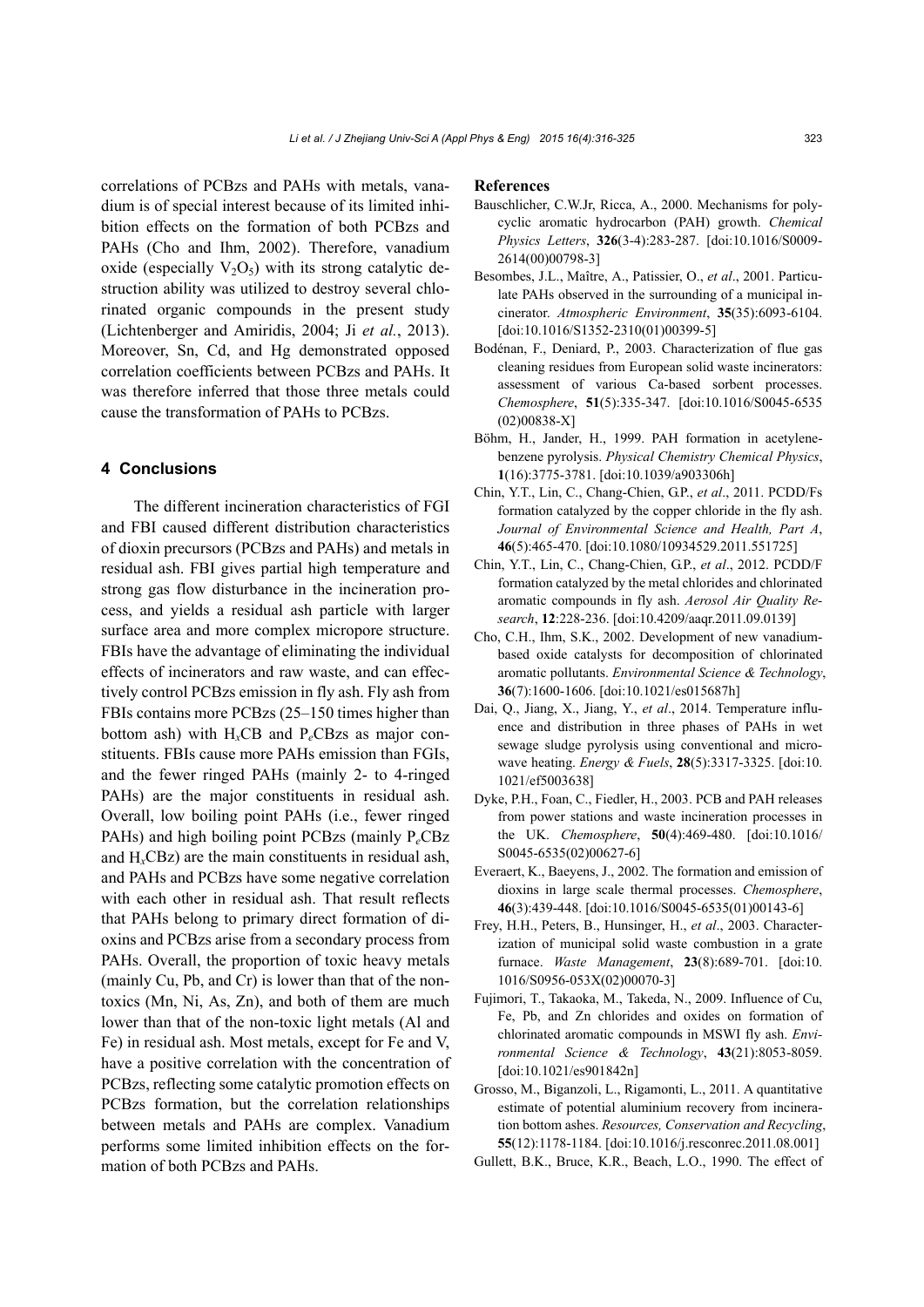correlations of PCBzs and PAHs with metals, vanadium is of special interest because of its limited inhibition effects on the formation of both PCBzs and PAHs (Cho and Ihm, 2002). Therefore, vanadium oxide (especially  $V_2O_5$ ) with its strong catalytic destruction ability was utilized to destroy several chlorinated organic compounds in the present study (Lichtenberger and Amiridis, 2004; Ji *et al.*, 2013). Moreover, Sn, Cd, and Hg demonstrated opposed correlation coefficients between PCBzs and PAHs. It was therefore inferred that those three metals could cause the transformation of PAHs to PCBzs.

### **4 Conclusions**

The different incineration characteristics of FGI and FBI caused different distribution characteristics of dioxin precursors (PCBzs and PAHs) and metals in residual ash. FBI gives partial high temperature and strong gas flow disturbance in the incineration process, and yields a residual ash particle with larger surface area and more complex micropore structure. FBIs have the advantage of eliminating the individual effects of incinerators and raw waste, and can effectively control PCBzs emission in fly ash. Fly ash from FBIs contains more PCBzs (25–150 times higher than bottom ash) with  $H_xCB$  and  $P_eCBzs$  as major constituents. FBIs cause more PAHs emission than FGIs, and the fewer ringed PAHs (mainly 2- to 4-ringed PAHs) are the major constituents in residual ash. Overall, low boiling point PAHs (i.e., fewer ringed PAHs) and high boiling point PCBzs (mainly P*e*CBz and H*x*CBz) are the main constituents in residual ash, and PAHs and PCBzs have some negative correlation with each other in residual ash. That result reflects that PAHs belong to primary direct formation of dioxins and PCBzs arise from a secondary process from PAHs. Overall, the proportion of toxic heavy metals (mainly Cu, Pb, and Cr) is lower than that of the nontoxics (Mn, Ni, As, Zn), and both of them are much lower than that of the non-toxic light metals (Al and Fe) in residual ash. Most metals, except for Fe and V, have a positive correlation with the concentration of PCBzs, reflecting some catalytic promotion effects on PCBzs formation, but the correlation relationships between metals and PAHs are complex. Vanadium performs some limited inhibition effects on the formation of both PCBzs and PAHs.

#### **References**

- Bauschlicher, C.W.Jr, Ricca, A., 2000. Mechanisms for polycyclic aromatic hydrocarbon (PAH) growth. *Chemical Physics Letters*, **326**(3-4):283-287. [doi:10.1016/S0009- 2614(00)00798-3]
- Besombes, J.L., Maı̂tre, A., Patissier, O., *et al*., 2001. Particulate PAHs observed in the surrounding of a municipal incinerator. *Atmospheric Environment*, **35**(35):6093-6104. [doi:10.1016/S1352-2310(01)00399-5]
- Bodénan, F., Deniard, P., 2003. Characterization of flue gas cleaning residues from European solid waste incinerators: assessment of various Ca-based sorbent processes. *Chemosphere*, **51**(5):335-347. [doi:10.1016/S0045-6535 (02)00838-X]
- Böhm, H., Jander, H., 1999. PAH formation in acetylenebenzene pyrolysis. *Physical Chemistry Chemical Physics*, **1**(16):3775-3781. [doi:10.1039/a903306h]
- Chin, Y.T., Lin, C., Chang-Chien, G.P., *et al*., 2011. PCDD/Fs formation catalyzed by the copper chloride in the fly ash. *Journal of Environmental Science and Health, Part A*, **46**(5):465-470. [doi:10.1080/10934529.2011.551725]
- Chin, Y.T., Lin, C., Chang-Chien, G.P., *et al*., 2012. PCDD/F formation catalyzed by the metal chlorides and chlorinated aromatic compounds in fly ash. *Aerosol Air Quality Research*, **12**:228-236. [doi:10.4209/aaqr.2011.09.0139]
- Cho, C.H., Ihm, S.K., 2002. Development of new vanadiumbased oxide catalysts for decomposition of chlorinated aromatic pollutants. *Environmental Science & Technology*, **36**(7):1600-1606. [doi:10.1021/es015687h]
- Dai, Q., Jiang, X., Jiang, Y., *et al*., 2014. Temperature influence and distribution in three phases of PAHs in wet sewage sludge pyrolysis using conventional and microwave heating. *Energy & Fuels*, **28**(5):3317-3325. [doi:10. 1021/ef5003638]
- Dyke, P.H., Foan, C., Fiedler, H., 2003. PCB and PAH releases from power stations and waste incineration processes in the UK. *Chemosphere*, **50**(4):469-480. [doi:10.1016/ S0045-6535(02)00627-6]
- Everaert, K., Baeyens, J., 2002. The formation and emission of dioxins in large scale thermal processes. *Chemosphere*, **46**(3):439-448. [doi:10.1016/S0045-6535(01)00143-6]
- Frey, H.H., Peters, B., Hunsinger, H., *et al*., 2003. Characterization of municipal solid waste combustion in a grate furnace. *Waste Management*, **23**(8):689-701. [doi:10. 1016/S0956-053X(02)00070-3]
- Fujimori, T., Takaoka, M., Takeda, N., 2009. Influence of Cu, Fe, Pb, and Zn chlorides and oxides on formation of chlorinated aromatic compounds in MSWI fly ash. *Environmental Science & Technology*, **43**(21):8053-8059. [doi:10.1021/es901842n]
- Grosso, M., Biganzoli, L., Rigamonti, L., 2011. A quantitative estimate of potential aluminium recovery from incineration bottom ashes. *Resources, Conservation and Recycling*, **55**(12):1178-1184. [doi:10.1016/j.resconrec.2011.08.001]
- Gullett, B.K., Bruce, K.R., Beach, L.O., 1990. The effect of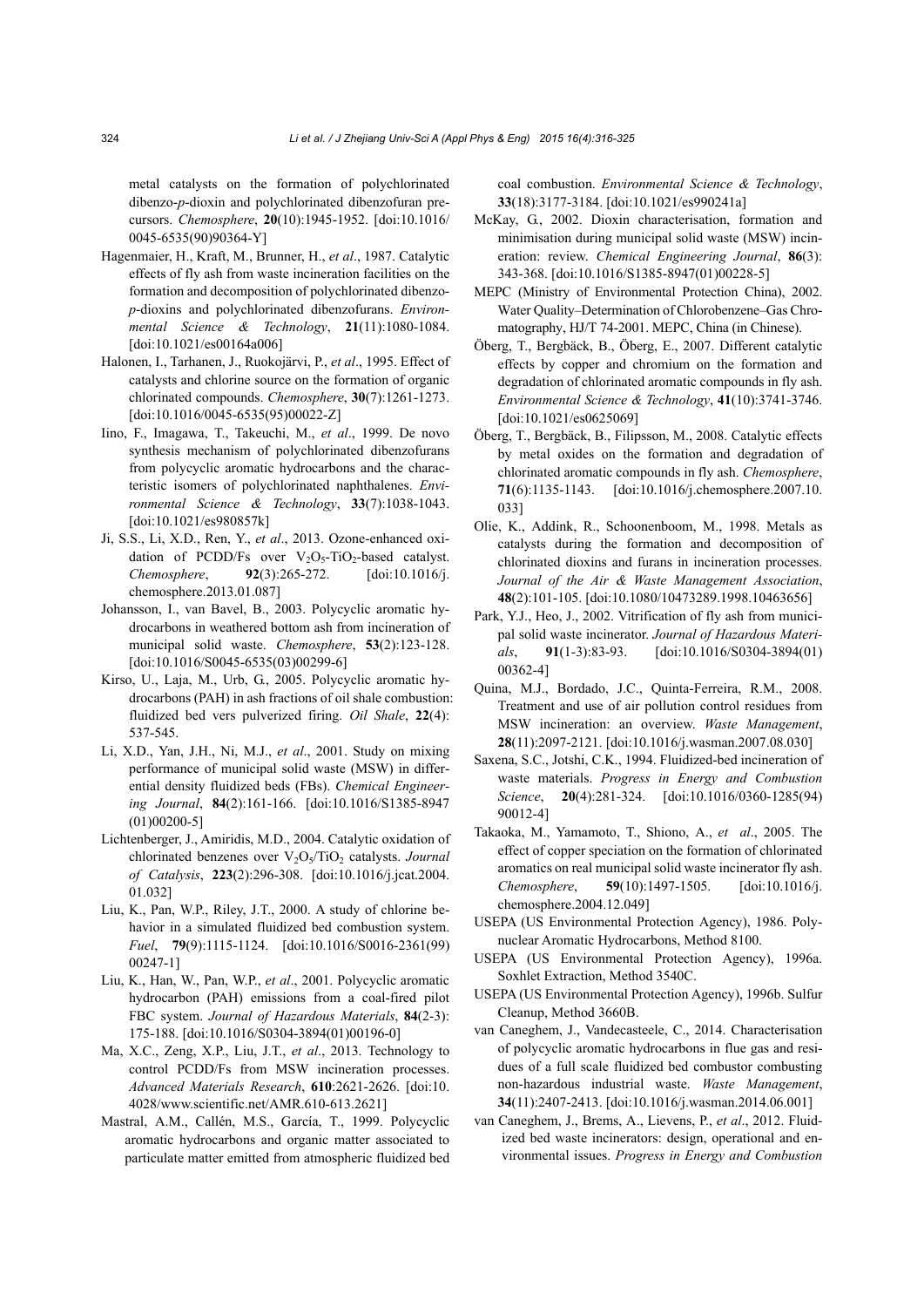metal catalysts on the formation of polychlorinated dibenzo-*p*-dioxin and polychlorinated dibenzofuran precursors. *Chemosphere*, **20**(10):1945-1952. [doi:10.1016/ 0045-6535(90)90364-Y]

- Hagenmaier, H., Kraft, M., Brunner, H., *et al*., 1987. Catalytic effects of fly ash from waste incineration facilities on the formation and decomposition of polychlorinated dibenzo*p*-dioxins and polychlorinated dibenzofurans. *Environmental Science & Technology*, **21**(11):1080-1084. [doi:10.1021/es00164a006]
- Halonen, I., Tarhanen, J., Ruokojärvi, P., *et al*., 1995. Effect of catalysts and chlorine source on the formation of organic chlorinated compounds. *Chemosphere*, **30**(7):1261-1273. [doi:10.1016/0045-6535(95)00022-Z]
- Iino, F., Imagawa, T., Takeuchi, M., *et al*., 1999. De novo synthesis mechanism of polychlorinated dibenzofurans from polycyclic aromatic hydrocarbons and the characteristic isomers of polychlorinated naphthalenes. *Environmental Science & Technology*, **33**(7):1038-1043. [doi:10.1021/es980857k]
- Ji, S.S., Li, X.D., Ren, Y., *et al*., 2013. Ozone-enhanced oxidation of PCDD/Fs over  $V_2O_5$ -TiO<sub>2</sub>-based catalyst. *Chemosphere*, **92**(3):265-272. [doi:10.1016/j. chemosphere.2013.01.087]
- Johansson, I., van Bavel, B., 2003. Polycyclic aromatic hydrocarbons in weathered bottom ash from incineration of municipal solid waste. *Chemosphere*, **53**(2):123-128. [doi:10.1016/S0045-6535(03)00299-6]
- Kirso, U., Laja, M., Urb, G., 2005. Polycyclic aromatic hydrocarbons (PAH) in ash fractions of oil shale combustion: fluidized bed vers pulverized firing. *Oil Shale*, **22**(4): 537-545.
- Li, X.D., Yan, J.H., Ni, M.J., *et al*., 2001. Study on mixing performance of municipal solid waste (MSW) in differential density fluidized beds (FBs). *Chemical Engineering Journal*, **84**(2):161-166. [doi:10.1016/S1385-8947 (01)00200-5]
- Lichtenberger, J., Amiridis, M.D., 2004. Catalytic oxidation of chlorinated benzenes over V<sub>2</sub>O<sub>5</sub>/TiO<sub>2</sub> catalysts. *Journal of Catalysis*, **223**(2):296-308. [doi:10.1016/j.jcat.2004. 01.032]
- Liu, K., Pan, W.P., Riley, J.T., 2000. A study of chlorine behavior in a simulated fluidized bed combustion system. *Fuel*, **79**(9):1115-1124. [doi:10.1016/S0016-2361(99) 00247-1]
- Liu, K., Han, W., Pan, W.P., *et al*., 2001. Polycyclic aromatic hydrocarbon (PAH) emissions from a coal-fired pilot FBC system. *Journal of Hazardous Materials*, **84**(2-3): 175-188. [doi:10.1016/S0304-3894(01)00196-0]
- Ma, X.C., Zeng, X.P., Liu, J.T., *et al*., 2013. Technology to control PCDD/Fs from MSW incineration processes. *Advanced Materials Research*, **610**:2621-2626. [doi:10. 4028/www.scientific.net/AMR.610-613.2621]
- Mastral, A.M., Callén, M.S., García, T., 1999. Polycyclic aromatic hydrocarbons and organic matter associated to particulate matter emitted from atmospheric fluidized bed

coal combustion. *Environmental Science & Technology*, **33**(18):3177-3184. [doi:10.1021/es990241a]

- McKay, G., 2002. Dioxin characterisation, formation and minimisation during municipal solid waste (MSW) incineration: review. *Chemical Engineering Journal*, **86**(3): 343-368. [doi:10.1016/S1385-8947(01)00228-5]
- MEPC (Ministry of Environmental Protection China), 2002. Water Quality–Determination of Chlorobenzene–Gas Chromatography, HJ/T 74-2001. MEPC, China (in Chinese).
- Öberg, T., Bergbäck, B., Öberg, E., 2007. Different catalytic effects by copper and chromium on the formation and degradation of chlorinated aromatic compounds in fly ash. *Environmental Science & Technology*, **41**(10):3741-3746. [doi:10.1021/es0625069]
- Öberg, T., Bergbäck, B., Filipsson, M., 2008. Catalytic effects by metal oxides on the formation and degradation of chlorinated aromatic compounds in fly ash. *Chemosphere*, **71**(6):1135-1143. [doi:10.1016/j.chemosphere.2007.10. 033]
- Olie, K., Addink, R., Schoonenboom, M., 1998. Metals as catalysts during the formation and decomposition of chlorinated dioxins and furans in incineration processes. *Journal of the Air & Waste Management Association*, **48**(2):101-105. [doi:10.1080/10473289.1998.10463656]
- Park, Y.J., Heo, J., 2002. Vitrification of fly ash from municipal solid waste incinerator. *Journal of Hazardous Materials*, **91**(1-3):83-93. [doi:10.1016/S0304-3894(01) 00362-4]
- Quina, M.J., Bordado, J.C., Quinta-Ferreira, R.M., 2008. Treatment and use of air pollution control residues from MSW incineration: an overview. *Waste Management*, **28**(11):2097-2121. [doi:10.1016/j.wasman.2007.08.030]
- Saxena, S.C., Jotshi, C.K., 1994. Fluidized-bed incineration of waste materials. *Progress in Energy and Combustion Science*, **20**(4):281-324. [doi:10.1016/0360-1285(94) 90012-4]
- Takaoka, M., Yamamoto, T., Shiono, A., *et al*., 2005. The effect of copper speciation on the formation of chlorinated aromatics on real municipal solid waste incinerator fly ash. *Chemosphere*, **59**(10):1497-1505. [doi:10.1016/j. chemosphere.2004.12.049]
- USEPA (US Environmental Protection Agency), 1986. Polynuclear Aromatic Hydrocarbons, Method 8100.
- USEPA (US Environmental Protection Agency), 1996a. Soxhlet Extraction, Method 3540C.
- USEPA (US Environmental Protection Agency), 1996b. Sulfur Cleanup, Method 3660B.
- van Caneghem, J., Vandecasteele, C., 2014. Characterisation of polycyclic aromatic hydrocarbons in flue gas and residues of a full scale fluidized bed combustor combusting non-hazardous industrial waste. *Waste Management*, **34**(11):2407-2413. [doi:10.1016/j.wasman.2014.06.001]
- van Caneghem, J., Brems, A., Lievens, P., *et al*., 2012. Fluidized bed waste incinerators: design, operational and environmental issues. *Progress in Energy and Combustion*